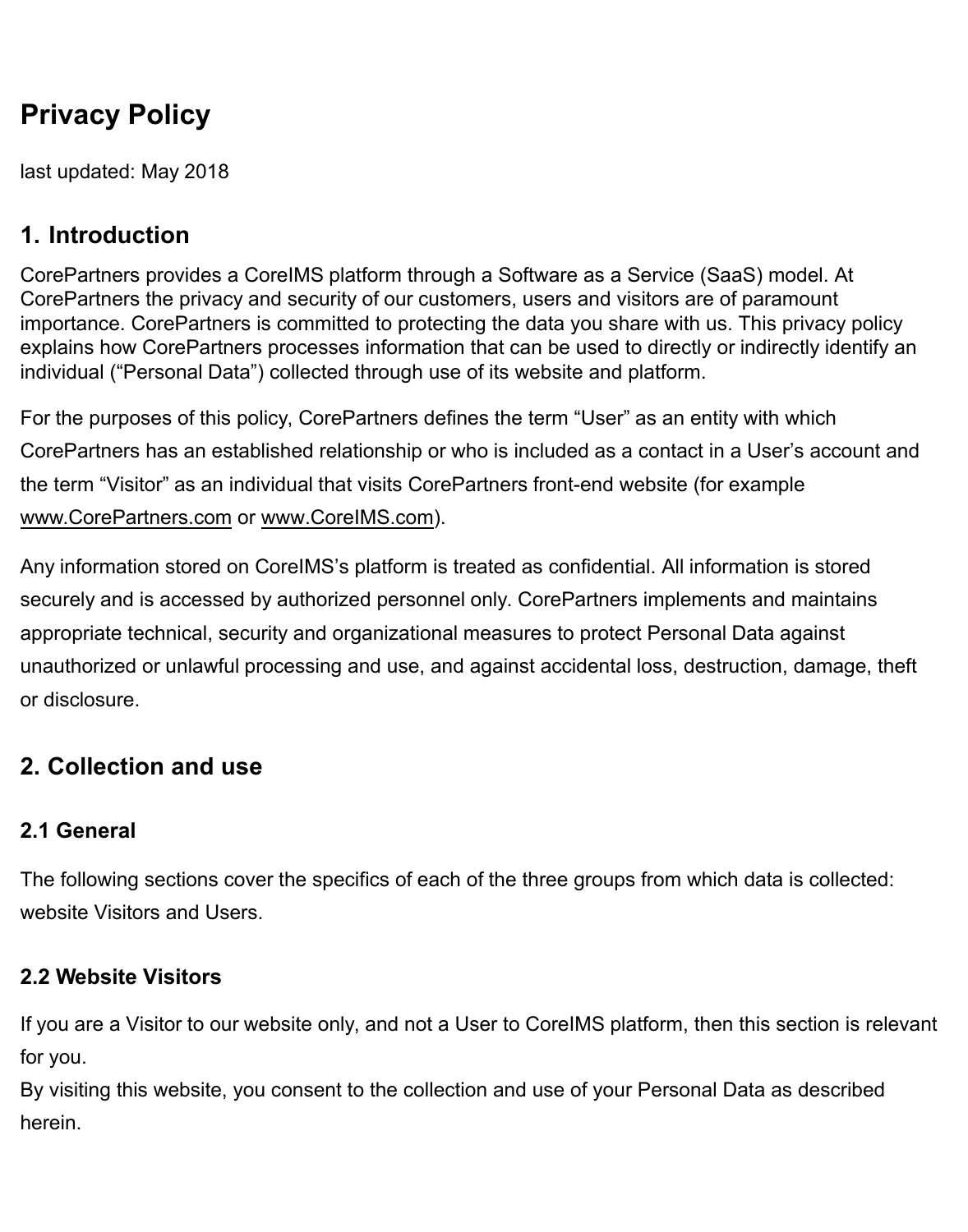# **Privacy Policy**

last updated: May 2018

# **1. Introduction**

CorePartners provides a CoreIMS platform through a Software as a Service (SaaS) model and onpremise. At CorePartners the privacy and security of our customers, users and visitors are of paramount importance. CorePartners is committed to protecting the data you share with us. This privacy policy explains how CorePartners processes information that can be used to directly or indirectly identify an individual ("Personal Data") collected through use of its website and platform.

For the purposes of this policy, CorePartners defines the term "User" as an entity with which CorePartners has an established contractual relationship or who is included as a contact in a User's account and the term "Visitor" as an individual that visits CorePartners front-end website (for example [www.CorePartners.com](http://www.CorePartners.com) or www.CoreIMS.com).

Any information stored on CoreIMS['s platform is treate](http://www.CoreAchieve.com)d as confidential. All information is stored securely and is accessed by authorized personnel only. CorePartners implements and maintains appropriate technical, security and organizational measures to protect Personal Data against unauthorized or unlawful processing and use, and against accidental loss, destruction, damage, theft or disclosure.

# **2. Collection and use**

## **2.1 General**

The following sections cover the specifics of each of the three groups from which data is collected: website Visitors and Users.

## **2.2 Website Visitors**

If you are a Visitor to our website only, and not a User to CoreIMS platform, then this section is relevant for you.

By visiting this website, you consent to the collection and use of your Personal Data as described herein.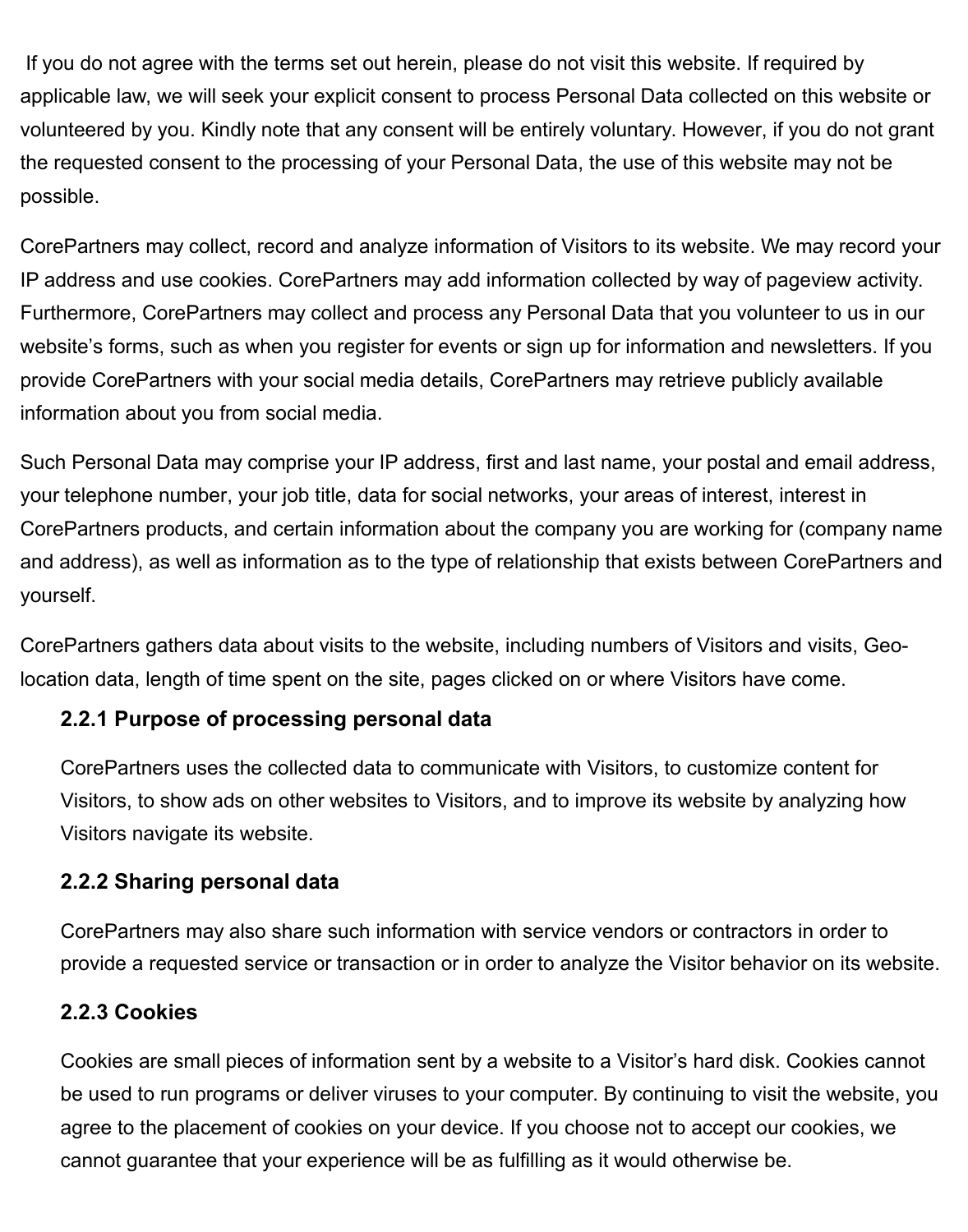If you do not agree with the terms set out herein, please do not visit this website. If required by applicable law, we will seek your explicit consent to process Personal Data collected on this website or volunteered by you. Kindly note that any consent will be entirely voluntary. However, if you do not grant the requested consent to the processing of your Personal Data, the use of this website may not be possible.

CorePartners may collect, record and analyze information of Visitors to its website. We may record your IP address and use cookies. CorePartners may add information collected by way of pageview activity. Furthermore, CorePartners may collect and process any Personal Data that you volunteer to us in our website's forms, such as when you register for events or sign up for information and newsletters. If you provide CorePartners with your social media details, CorePartners may retrieve publicly available information about you from social media.

Such Personal Data may comprise your IP address, first and last name, your postal and email address, your telephone number, your job title, data for social networks, your areas of interest, interest in CorePartners products, and certain information about the company you are working for (company name and address), as well as information as to the type of relationship that exists between CorePartners and yourself.

CorePartners gathers data about visits to the website, including numbers of Visitors and visits, Geolocation data, length of time spent on the site, pages clicked on or where Visitors have come.

#### **2.2.1 Purpose of processing personal data**

CorePartners uses the collected data to communicate with Visitors, to customize content for Visitors, to show ads on other websites to Visitors, and to improve its website by analyzing how Visitors navigate its website.

#### **2.2.2 Sharing personal data**

CorePartners may also share such information with service vendors or contractors in order to provide a requested service or transaction or in order to analyze the Visitor behavior on its website.

#### **2.2.3 Cookies**

Cookies are small pieces of information sent by a website to a Visitor's hard disk. Cookies cannot be used to run programs or deliver viruses to your computer. By continuing to visit the website, you agree to the placement of cookies on your device. If you choose not to accept our cookies, we cannot guarantee that your experience will be as fulfilling as it would otherwise be.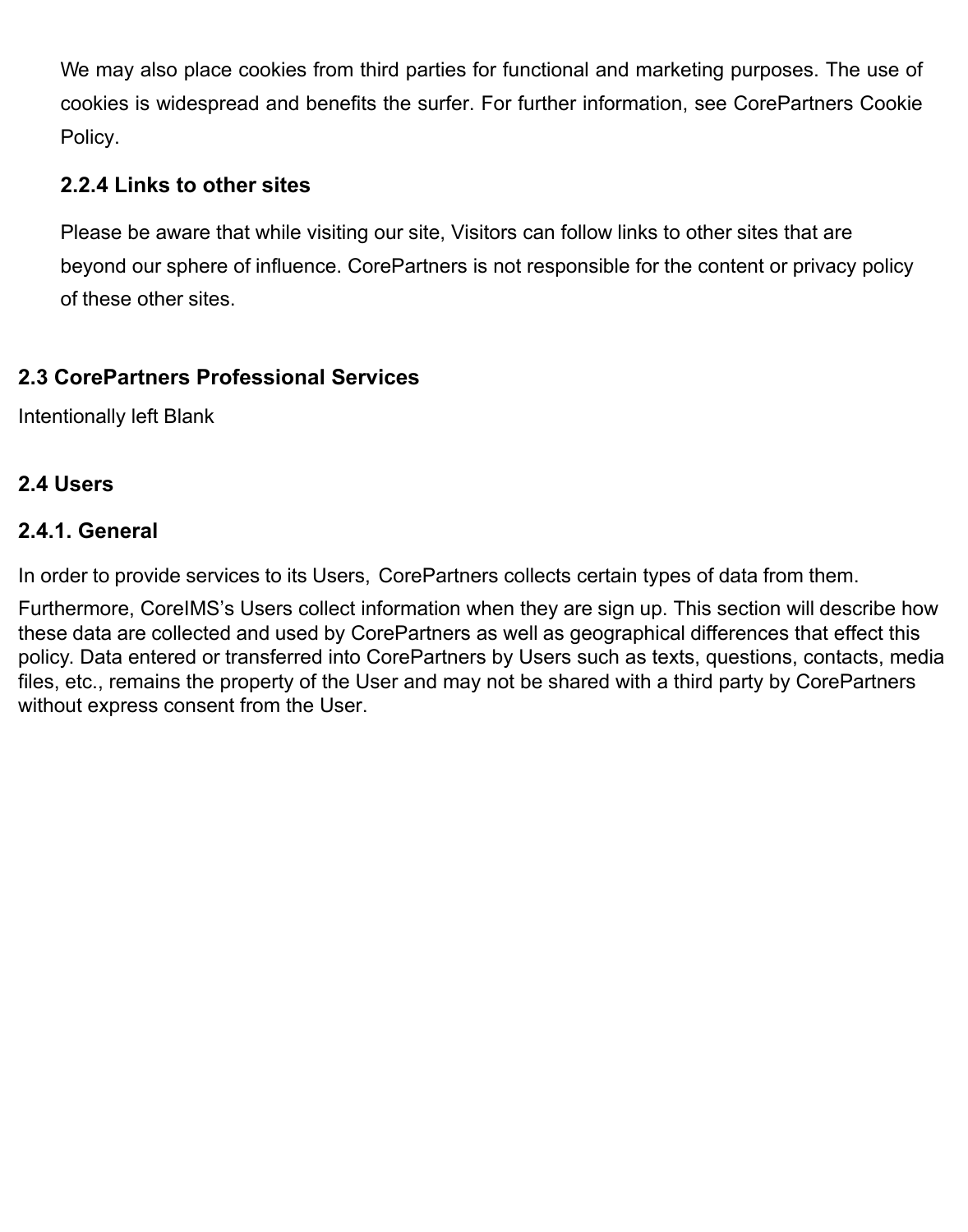We may also place cookies from third parties for functional and marketing purposes. The use of cookies is widespread and benefits the surfer. For further information, see CorePartners Cookie Policy.

#### **2.2.4 Links to other sites**

Please be aware that while visiting our site, Visitors can follow links to other sites that are beyond our sphere of influence. CorePartners is not responsible for the content or privacy policy of these other sites.

#### **2.3 CorePartners Professional Services**

Intentionally left Blank

#### **2.4 Users**

#### **2.4.1. General**

In order to provide services to its Users, CorePartners collects certain types of data from them.

Furthermore, CoreIMS's Users collect information when they are sign up. This section will describe how these data are collected and used by CorePartners as well as geographical differences that effect this policy. Data entered or transferred into CorePartners by Users such as texts, links, contacts, media files, etc., remains the property of the User and may not be shared with a third party by CorePartners without express consent from the User.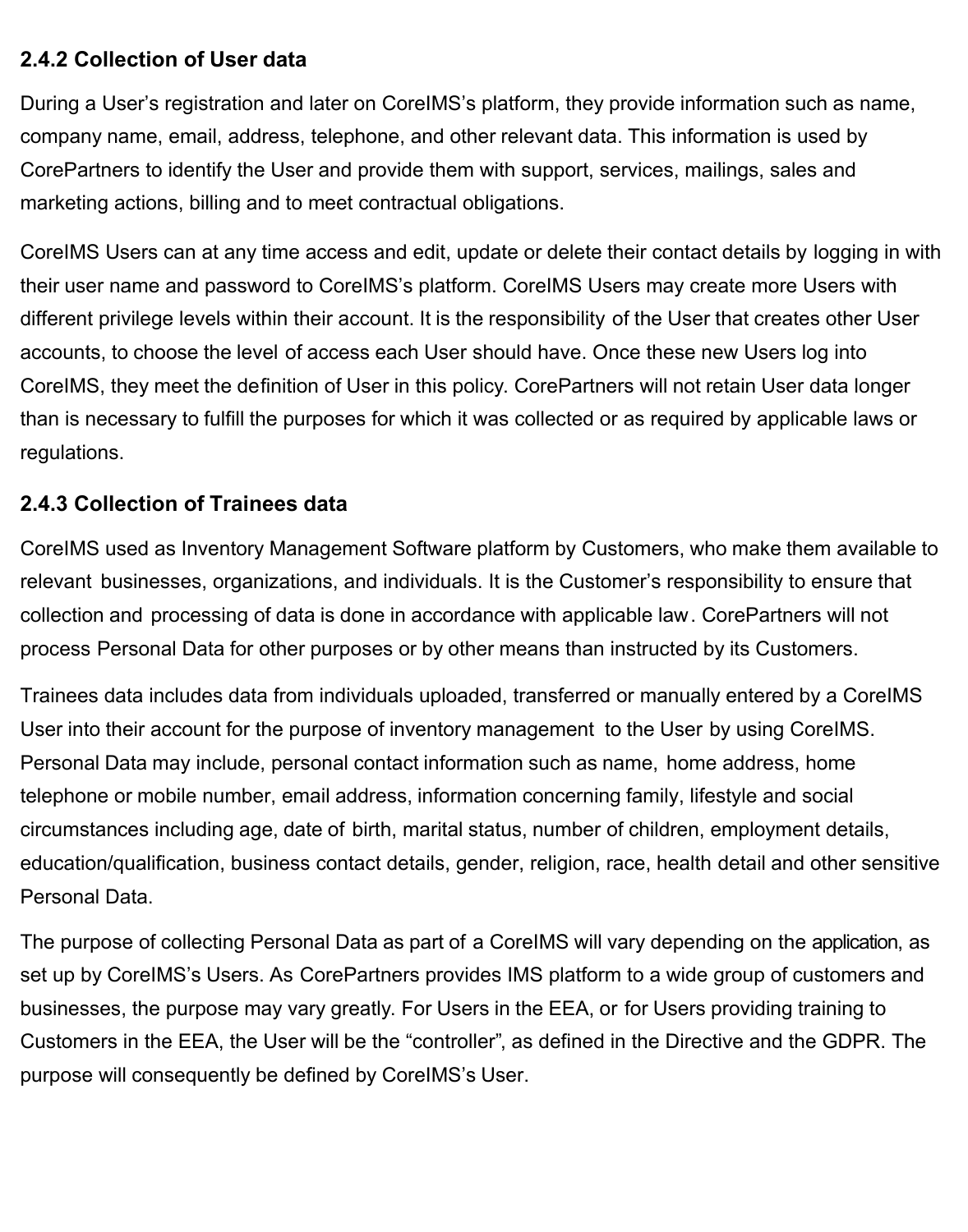#### **2.4.2 Collection of User data**

During a User's registration and later on CoreIMS's platform, they provide information such as name, company name, email, address, telephone, and other relevant data and  $\int c \wedge \int e^{\lambda} e^{i\pi/2} \cdot \int d\pi$ æ}å (X^) å [ $\cdot$ . This information is used by CorePartners to identify the User and provide them with support, services, mailings, sales and  $x\in\Lambda\mathbb{R}$ <sup>\*</sup>  $\bullet\Lambda$  actions, billing and to meet contractual obligations.

CoreIMS Users can at any time access and edit, update or delete their contact details by logging in with their user name and password to CoreIMS's platform. CoreIMS Users may create more Users with different privilege levels within their account. It is the responsibility of the User that creates other User accounts, to choose the level of access each User should have. Once these new Users log into CoreIMS, they meet the definition of User in this policy. CorePartners will not retain User data longer than is necessary to fulfill the purposes for which it was collected or as required by applicable laws or regulations.

#### **2.4.3 Collection of Customer data**

CoreIMS used as Inventory Management Software platform by ['incustomers, who make them available to relevant businesses, organizations, and individuals. It is the Customer's responsibility to ensure that collection and processing of data is done in accordance with applicable law. CorePartners will not process Personal Data for other purposes or by other means than instructed by its Customers.

 $W^{\bullet}$ <sup>1</sup> data includes data from individuals uploaded, transferred or manually entered by a CoreIMS User into their account for the purpose of inventory  $\mathbb{R}^1\setminus\mathbb{R}^1\setminus\mathbb{R}$  in  $\sim\mathbb{R}^1\setminus\mathbb{R}^1$  in  $\sim\mathbb{R}^1\setminus\mathbb{R}^1$  and  $\sim\mathbb{R}^1\setminus\mathbb{R}^1$  in  $\sim\mathbb{R}^1\setminus\mathbb{R}^1$ CoreIMS. Personal Data may include, personal contact information such as name,  $\hat{a}^* \cdot \hat{a}$ } ^\*\* address, à  $\bullet$   $\bullet$   $\bullet$  telephone or mobile number, email address, information concerning family, lifestyle and social circumstances including age, date of birth, marital status, number of children, employment details, education/qualification, business contact details, gender, religion, race, health detail and other sensitive Personal Data.

The purpose of collecting Personal Data as part of a CoreIMS will vary depending on the application, as set up by CoreIMS's Users. As CorePartners provides IMS platform to a wide group of customers and businesses, the purpose may vary greatly. For Users in the EEA, or for Users providing training to Customers in the EEA, the User will be the "controller", as defined in the Directive and the GDPR. The purpose will consequently be defined by CoreIMS's User.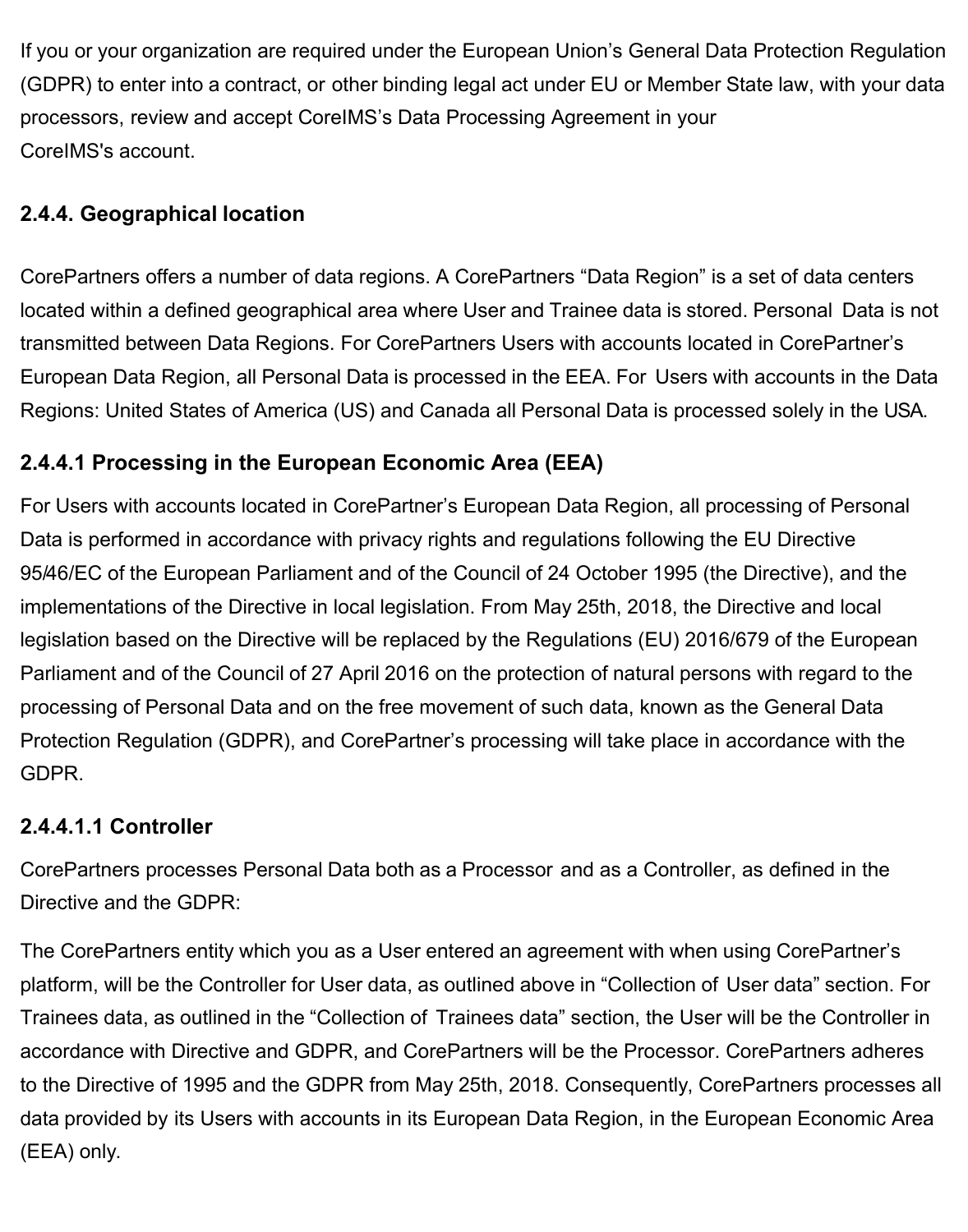If you or your organization are required under the European Union's General Data Protection Regulation (GDPR) to enter into a contract, or other binding legal act under EU or Member State law, with your data processors, review and accept CoreIMS's Data Processing Agreement in your CoreIMS's account.

#### **2.4.4. Geographical location**

CorePartners offers a number of data regions. A CorePartners "Data Region" is a set of data centers located within a defined geographical area where User data is stored. Personal Data is not transmitted between Data Regions. For CorePartners Users with accounts located in CorePartner's European Data Region, all Personal Data is processed in the EEA. For Users with accounts in the Data Regions: United States of America (US) and Canada all Personal Data is processed solely in the USA.

#### **2.4.4.1 Processing in the European Economic Area (EEA)**

For Users with accounts located in CorePartner's European Data Region, all processing of Personal Data is performed in accordance with privacy rights and regulations following the EU Directive 95/46/EC of the European Parliament and of the Council of 24 October 1995 (the Directive), and the implementations of the Directive in local legislation. From May 25th, 2018, the Directive and local legislation based on the Directive will be replaced by the Regulations (EU) 2016/679 of the European Parliament and of the Council of 27 April 2016 on the protection of natural persons with regard to the processing of Personal Data and on the free movement of such data, known as the General Data Protection Regulation (GDPR), and CorePartner's processing will take place in accordance with the GDPR.

#### **2.4.4.1.1 Controller**

CorePartners processes Personal Data both as a Processor and as a Controller, as defined in the Directive and the GDPR:

The CorePartners entity which you as a Customer entered an agreement with when using CorePartner's platform, will be the Controller for Customer data, as outlined above in "Collection of Customer data" section. For User data, as outlined in the "Collection of Users data" section, the User will be the Controller in accordance with Directive and GDPR, and CorePartners will be the Processor. CorePartners adheres to the Directive of 1995 and the GDPR from May 25th, 2018. Consequently, CorePartners processes all data provided by its Users with accounts in its European Data Region, in the European Economic Area (EEA) only.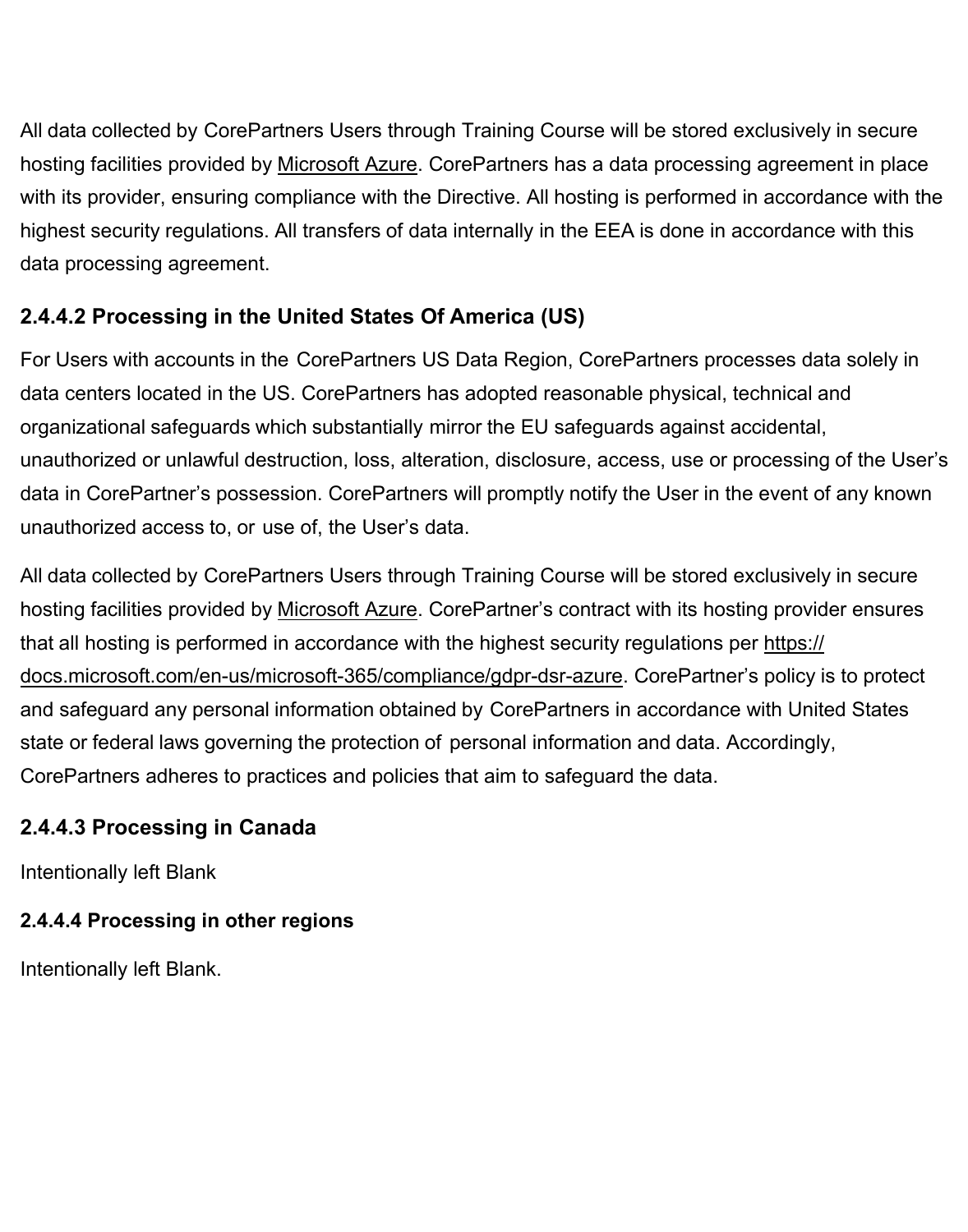All data collected by CorePartners Users through CoreIMS Platform will be stored exclusively in secure hosting facilities provided by Microsoft Azure. CorePartners has a data processing agreement in place with its provider, ensuring compliance with the Directive. All hosting is performed in accordance with the highest security regulations. All transfers of data internally in the EEA is done in accordance with this data processing agreement.

## **2.4.4.2 Processing in the United States Of America (US)**

For Users with accounts in the CorePartners US Data Region, CorePartners processes data solely in data centers located in the US. CorePartners has adopted reasonable physical, technical and organizational safeguards which substantially mirror the EU safeguards against accidental, unauthorized or unlawful destruction, loss, alteration, disclosure, access, use or processing of the User's data in CorePartner's possession. CorePartners will promptly notify the User in the event of any known unauthorized access to, or use of, the User's data.

All data collected by CorePartners Users through CoreIMS Platform will be stored exclusively in secure hosting facilities provided by Microsoft Azure. CorePartner's contract with its hosting provider ensures that all hosting is performed in accordance with the highest security regulations per [https://](https://docs.microsoft.com/en-us/microsoft-365/compliance/gdpr-dsr-azure) [docs.microsoft.com/en-us/microsoft-365/compliance/gdpr-dsr-azure](https://docs.microsoft.com/en-us/microsoft-365/compliance/gdpr-dsr-azure). CorePartner's policy is to protect and safeguard any personal information obtained by CorePartners in accordance with United States state or federal laws governing the protection of personal information and data. Accordingly, CorePartners adheres to practices and policies that aim to safeguard the data.

## **2.4.4.3 Processing in Canada**

Intentionally left Blank

# **2.4.4.4 Processing in other regions**

Intentionally left Blank.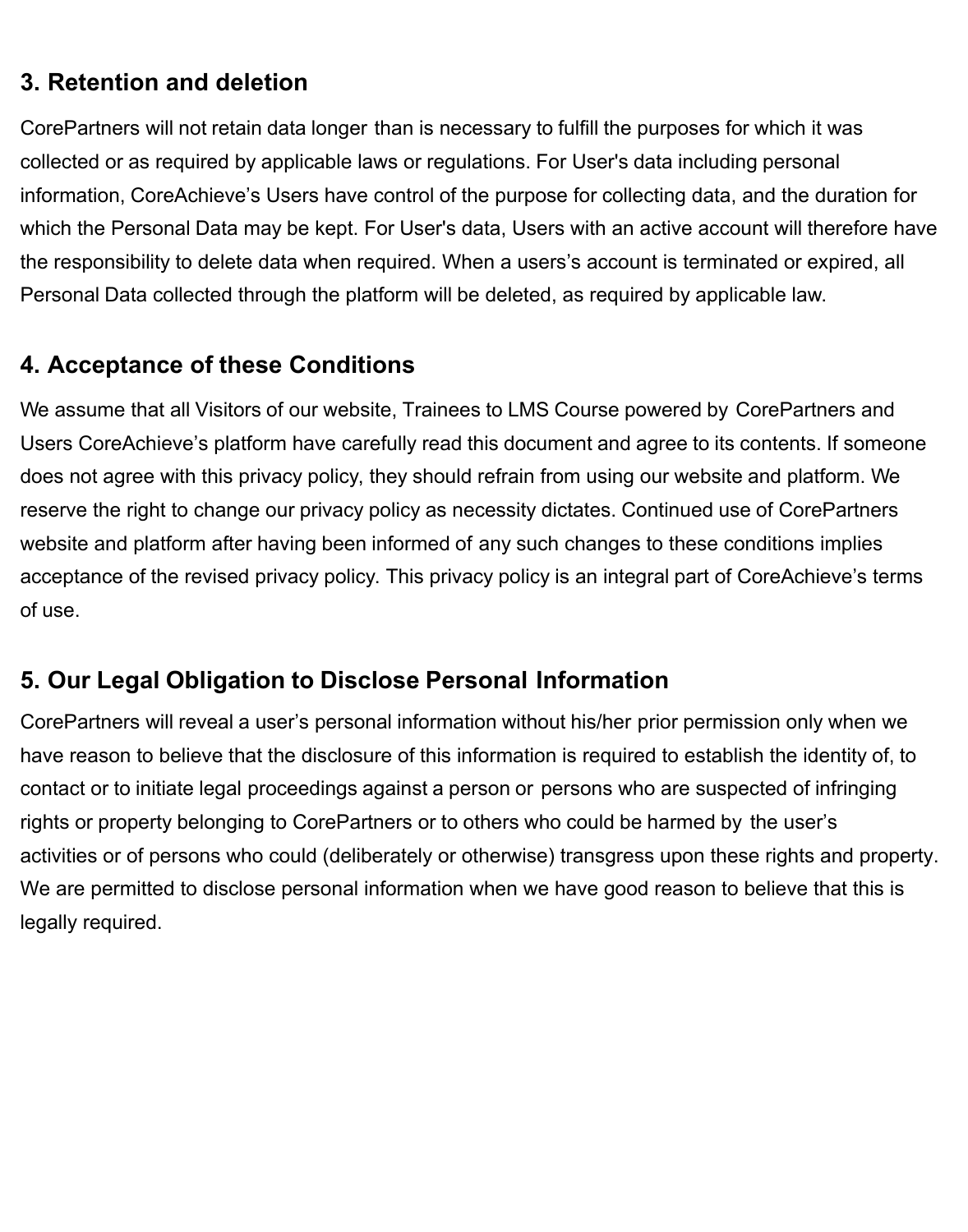# **3. Retention and deletion**

CorePartners will not retain data longer than is necessary to fulfill the purposes for which it was collected or as required by applicable laws or regulations. For User's data including personal information, CoreIMS's Users have control of the purpose for collecting data, and the duration for which the Personal Data may be kept. For User's data, Users with an active account will therefore have the responsibility to delete data when required. When a users's account is terminated or expired, all Personal Data collected through the platform will be deleted, as required by applicable law.

# **4. Acceptance of these Conditions**

We assume that all Visitors of our website, CoreIMS Platform with all modules powered by CorePartners have carefully read this document and agree to its contents. If someone does not agree with this privacy policy, they should refrain from using our website and platform. We reserve the right to change our privacy policy as necessity dictates. Continued use of CorePartners website and platform after having been informed of any such changes to these conditions implies acceptance of the revised privacy policy. This privacy policy is an integral part of CoreIMS's terms of use.

# **5. Our Legal Obligation to Disclose Personal Information**

CorePartners will reveal a user's personal information without his/her prior permission only when we have reason to believe that the disclosure of this information is required to establish the identity of, to contact or to initiate legal proceedings against a person or persons who are suspected of infringing rights or property belonging to CorePartners or to others who could be harmed by the user's activities or of persons who could (deliberately or otherwise) transgress upon these rights and property. We are permitted to disclose personal information when we have good reason to believe that this is legally required.